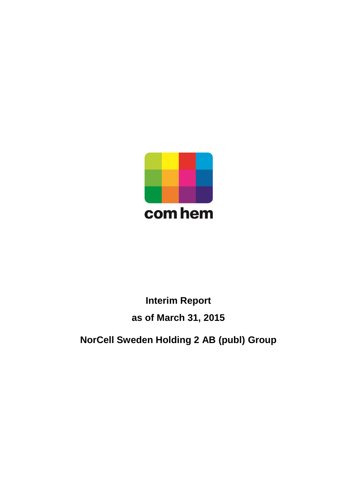

# **Interim Report as of March 31, 2015**

**NorCell Sweden Holding 2 AB (publ) Group**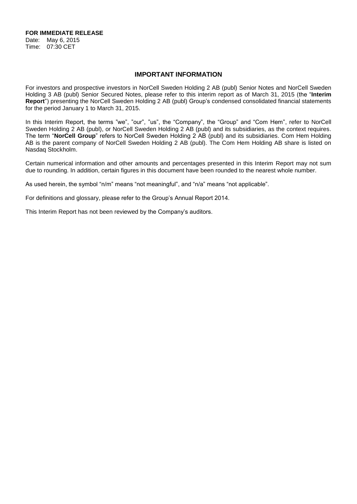**FOR IMMEDIATE RELEASE**

Date: May 6, 2015 Time: 07:30 CET

#### **IMPORTANT INFORMATION**

For investors and prospective investors in NorCell Sweden Holding 2 AB (publ) Senior Notes and NorCell Sweden Holding 3 AB (publ) Senior Secured Notes, please refer to this interim report as of March 31, 2015 (the "**Interim Report**") presenting the NorCell Sweden Holding 2 AB (publ) Group's condensed consolidated financial statements for the period January 1 to March 31, 2015.

In this Interim Report, the terms "we", "our", "us", the "Company", the "Group" and "Com Hem", refer to NorCell Sweden Holding 2 AB (publ), or NorCell Sweden Holding 2 AB (publ) and its subsidiaries, as the context requires. The term "**NorCell Group**" refers to NorCell Sweden Holding 2 AB (publ) and its subsidiaries. Com Hem Holding AB is the parent company of NorCell Sweden Holding 2 AB (publ). The Com Hem Holding AB share is listed on Nasdaq Stockholm.

Certain numerical information and other amounts and percentages presented in this Interim Report may not sum due to rounding. In addition, certain figures in this document have been rounded to the nearest whole number.

As used herein, the symbol "n/m" means "not meaningful", and "n/a" means "not applicable".

For definitions and glossary, please refer to the Group's Annual Report 2014.

This Interim Report has not been reviewed by the Company's auditors.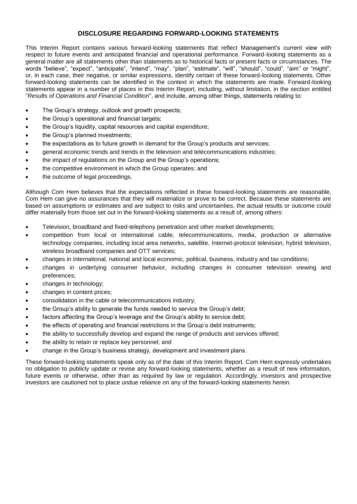### **DISCLOSURE REGARDING FORWARD-LOOKING STATEMENTS**

This Interim Report contains various forward-looking statements that reflect Management's current view with respect to future events and anticipated financial and operational performance. Forward-looking statements as a general matter are all statements other than statements as to historical facts or present facts or circumstances. The words "believe", "expect", "anticipate", "intend", "may", "plan", "estimate", "will", "should", "could", "aim" or "might", or, in each case, their negative, or similar expressions, identify certain of these forward-looking statements. Other forward-looking statements can be identified in the context in which the statements are made. Forward-looking statements appear in a number of places in this Interim Report, including, without limitation, in the section entitled "*Results of Operations and Financial Condition*", and include, among other things, statements relating to:

- The Group's strategy, outlook and growth prospects;
- the Group's operational and financial targets;
- the Group's liquidity, capital resources and capital expenditure;
- the Group's planned investments;
- the expectations as to future growth in demand for the Group's products and services;
- general economic trends and trends in the television and telecommunications industries;
- the impact of regulations on the Group and the Group's operations;
- the competitive environment in which the Group operates; and
- the outcome of legal proceedings.

Although Com Hem believes that the expectations reflected in these forward-looking statements are reasonable, Com Hem can give no assurances that they will materialize or prove to be correct. Because these statements are based on assumptions or estimates and are subject to risks and uncertainties, the actual results or outcome could differ materially from those set out in the forward-looking statements as a result of, among others:

- Television, broadband and fixed-telephony penetration and other market developments;
- competition from local or international cable, telecommunications, media, production or alternative technology companies, including local area networks, satellite, Internet-protocol television, hybrid television, wireless broadband companies and OTT services;
- changes in international, national and local economic, political, business, industry and tax conditions;
- changes in underlying consumer behavior, including changes in consumer television viewing and preferences;
- changes in technology;
- changes in content prices;
- consolidation in the cable or telecommunications industry;
- the Group's ability to generate the funds needed to service the Group's debt;
- factors affecting the Group's leverage and the Group's ability to service debt;
- the effects of operating and financial restrictions in the Group's debt instruments;
- the ability to successfully develop and expand the range of products and services offered;
- the ability to retain or replace key personnel; and
- change in the Group's business strategy, development and investment plans.

These forward-looking statements speak only as of the date of this Interim Report. Com Hem expressly undertakes no obligation to publicly update or revise any forward-looking statements, whether as a result of new information, future events or otherwise, other than as required by law or regulation. Accordingly, investors and prospective investors are cautioned not to place undue reliance on any of the forward-looking statements herein.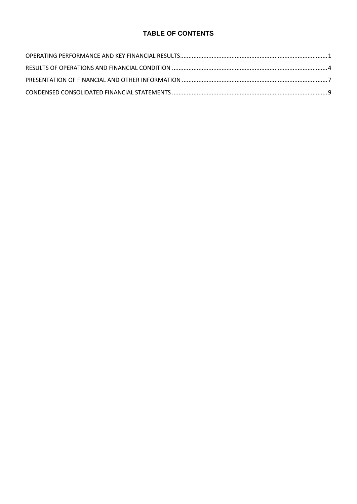### **TABLE OF CONTENTS**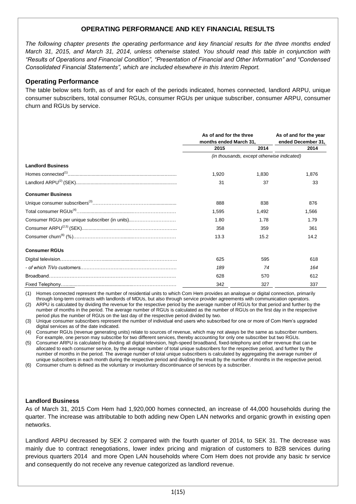### **OPERATING PERFORMANCE AND KEY FINANCIAL RESULTS**

*The following chapter presents the operating performance and key financial results for the three months ended March 31, 2015, and March 31, 2014, unless otherwise stated. You should read this table in conjunction with "Results of Operations and Financial Condition", "Presentation of Financial and Other Information" and "Condensed Consolidated Financial Statements", which are included elsewhere in this Interim Report.* 

### **Operating Performance**

The table below sets forth, as of and for each of the periods indicated, homes connected, landlord ARPU, unique consumer subscribers, total consumer RGUs, consumer RGUs per unique subscriber, consumer ARPU, consumer churn and RGUs by service.

|                                                | As of and for the three<br>months ended March 31, |                                            | As of and for the year<br>ended December 31, |
|------------------------------------------------|---------------------------------------------------|--------------------------------------------|----------------------------------------------|
|                                                | 2015                                              | 2014                                       | 2014                                         |
|                                                |                                                   | (in thousands, except otherwise indicated) |                                              |
| <b>Landlord Business</b>                       |                                                   |                                            |                                              |
|                                                | 1,920                                             | 1.830                                      | 1,876                                        |
|                                                | 31                                                | 37                                         | 33                                           |
| <b>Consumer Business</b>                       |                                                   |                                            |                                              |
|                                                | 888                                               | 838                                        | 876                                          |
|                                                | 1.595                                             | 1.492                                      | 1.566                                        |
| Consumer RGUs per unique subscriber (in units) | 1.80                                              | 1.78                                       | 1.79                                         |
|                                                | 358                                               | 359                                        | 361                                          |
|                                                | 13.3                                              | 15.2                                       | 14.2                                         |
| <b>Consumer RGUs</b>                           |                                                   |                                            |                                              |
|                                                | 625                                               | 595                                        | 618                                          |
|                                                | 189                                               | 74                                         | 164                                          |
|                                                | 628                                               | 570                                        | 612                                          |
|                                                | 342                                               | 327                                        | 337                                          |

(1) Homes connected represent the number of residential units to which Com Hem provides an analogue or digital connection, primarily through long-term contracts with landlords of MDUs, but also through service provider agreements with communication operators.

(2) ARPU is calculated by dividing the revenue for the respective period by the average number of RGUs for that period and further by the number of months in the period. The average number of RGUs is calculated as the number of RGUs on the first day in the respective period plus the number of RGUs on the last day of the respective period divided by two.

(3) Unique consumer subscribers represent the number of individual end users who subscribed for one or more of Com Hem's upgraded digital services as of the date indicated.

(4) Consumer RGUs (revenue generating units) relate to sources of revenue, which may not always be the same as subscriber numbers. For example, one person may subscribe for two different services, thereby accounting for only one subscriber but two RGUs.

(5) Consumer ARPU is calculated by dividing all digital television, high-speed broadband, fixed-telephony and other revenue that can be allocated to each consumer service, by the average number of total unique subscribers for the respective period, and further by the number of months in the period. The average number of total unique subscribers is calculated by aggregating the average number of unique subscribers in each month during the respective period and dividing the result by the number of months in the respective period.

(6) Consumer churn is defined as the voluntary or involuntary discontinuance of services by a subscriber.

### **Landlord Business**

As of March 31, 2015 Com Hem had 1,920,000 homes connected, an increase of 44,000 households during the quarter. The increase was attributable to both adding new Open LAN networks and organic growth in existing open networks.

Landlord ARPU decreased by SEK 2 compared with the fourth quarter of 2014, to SEK 31. The decrease was mainly due to contract renegotiations, lower index pricing and migration of customers to B2B services during previous quarters 2014 and more Open LAN households where Com Hem does not provide any basic tv service and consequently do not receive any revenue categorized as landlord revenue.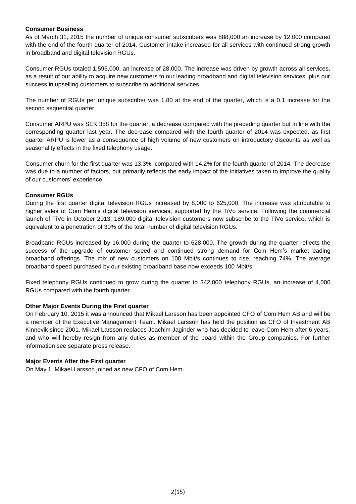### **Consumer Business**

As of March 31, 2015 the number of unique consumer subscribers was 888,000 an increase by 12,000 compared with the end of the fourth quarter of 2014. Customer intake increased for all services with continued strong growth in broadband and digital television RGUs.

Consumer RGUs totaled 1,595,000, an increase of 28,000. The increase was driven by growth across all services, as a result of our ability to acquire new customers to our leading broadband and digital television services, plus our success in upselling customers to subscribe to additional services.

The number of RGUs per unique subscriber was 1.80 at the end of the quarter, which is a 0.1 increase for the second sequential quarter.

Consumer ARPU was SEK 358 for the quarter, a decrease compared with the preceding quarter but in line with the corresponding quarter last year. The decrease compared with the fourth quarter of 2014 was expected, as first quarter ARPU is lower as a consequence of high volume of new customers on introductory discounts as well as seasonality effects in the fixed telephony usage.

Consumer churn for the first quarter was 13.3%, compared with 14.2% for the fourth quarter of 2014. The decrease was due to a number of factors, but primarily reflects the early impact of the initiatives taken to improve the quality of our customers' experience.

### **Consumer RGUs**

During the first quarter digital television RGUs increased by 8,000 to 625,000. The increase was attributable to higher sales of Com Hem's digital television services, supported by the TiVo service. Following the commercial launch of TiVo in October 2013, 189,000 digital television customers now subscribe to the TiVo service, which is equivalent to a penetration of 30% of the total number of digital television RGUs.

Broadband RGUs increased by 16,000 during the quarter to 628,000. The growth during the quarter reflects the success of the upgrade of customer speed and continued strong demand for Com Hem's market-leading broadband offerings. The mix of new customers on 100 Mbit/s continues to rise, reaching 74%. The average broadband speed purchased by our existing broadband base now exceeds 100 Mbit/s.

Fixed telephony RGUs continued to grow during the quarter to 342,000 telephony RGUs, an increase of 4,000 RGUs compared with the fourth quarter.

### **Other Major Events During the First quarter**

On February 10, 2015 it was announced that Mikael Larsson has been appointed CFO of Com Hem AB and will be a member of the Executive Management Team. Mikael Larsson has held the position as CFO of Investment AB Kinnevik since 2001. Mikael Larsson replaces Joachim Jaginder who has decided to leave Com Hem after 6 years, and who will hereby resign from any duties as member of the board within the Group companies. For further information see separate press release.

### **Major Events After the First quarter**

On May 1, Mikael Larsson joined as new CFO of Com Hem.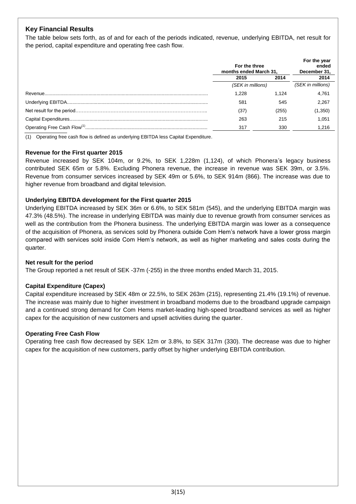### **Key Financial Results**

The table below sets forth, as of and for each of the periods indicated, revenue, underlying EBITDA, net result for the period, capital expenditure and operating free cash flow.

| For the three<br>months ended March 31. |       | For the year<br>ended<br>December 31, |
|-----------------------------------------|-------|---------------------------------------|
| 2015                                    | 2014  | 2014                                  |
| (SEK in millions)                       |       | (SEK in millions)                     |
| 1.228                                   | 1.124 | 4.761                                 |
| 581                                     | 545   | 2.267                                 |
| (37)                                    | (255) | (1,350)                               |
| 263                                     | 215   | 1.051                                 |
| 317                                     | 330   | 1.216                                 |

(1) Operating free cash flow is defined as underlying EBITDA less Capital Expenditure.

### **Revenue for the First quarter 2015**

Revenue increased by SEK 104m, or 9.2%, to SEK 1,228m (1,124), of which Phonera's legacy business contributed SEK 65m or 5.8%. Excluding Phonera revenue, the increase in revenue was SEK 39m, or 3.5%. Revenue from consumer services increased by SEK 49m or 5.6%, to SEK 914m (866). The increase was due to higher revenue from broadband and digital television.

### **Underlying EBITDA development for the First quarter 2015**

Underlying EBITDA increased by SEK 36m or 6.6%, to SEK 581m (545), and the underlying EBITDA margin was 47.3% (48.5%). The increase in underlying EBITDA was mainly due to revenue growth from consumer services as well as the contribution from the Phonera business. The underlying EBITDA margin was lower as a consequence of the acquisition of Phonera, as services sold by Phonera outside Com Hem's network have a lower gross margin compared with services sold inside Com Hem's network, as well as higher marketing and sales costs during the quarter.

### **Net result for the period**

The Group reported a net result of SEK -37m (-255) in the three months ended March 31, 2015.

### **Capital Expenditure (Capex)**

Capital expenditure increased by SEK 48m or 22.5%, to SEK 263m (215), representing 21.4% (19.1%) of revenue. The increase was mainly due to higher investment in broadband modems due to the broadband upgrade campaign and a continued strong demand for Com Hems market-leading high-speed broadband services as well as higher capex for the acquisition of new customers and upsell activities during the quarter.

### **Operating Free Cash Flow**

Operating free cash flow decreased by SEK 12m or 3.8%, to SEK 317m (330). The decrease was due to higher capex for the acquisition of new customers, partly offset by higher underlying EBITDA contribution.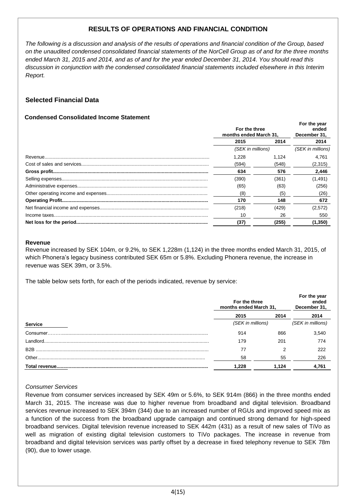### **RESULTS OF OPERATIONS AND FINANCIAL CONDITION**

*The following is a discussion and analysis of the results of operations and financial condition of the Group, based on the unaudited condensed consolidated financial statements of the NorCell Group as of and for the three months ended March 31, 2015 and 2014, and as of and for the year ended December 31, 2014. You should read this discussion in conjunction with the condensed consolidated financial statements included elsewhere in this Interim Report.*

### **Selected Financial Data**

### **CCondensed Consolidated Income Statement**

| For the three<br>months ended March 31. |       | For the year<br>ended<br>December 31, |
|-----------------------------------------|-------|---------------------------------------|
| 2015                                    | 2014  | 2014                                  |
| (SEK in millions)                       |       | (SEK in millions)                     |
| 1.228                                   | 1.124 | 4.761                                 |
| (594)                                   | (548) | (2,315)                               |
| 634                                     | 576   | 2,446                                 |
| (390)                                   | (361) | (1, 491)                              |
| (65)                                    | (63)  | (256)                                 |
| (8)                                     | (5)   | (26)                                  |
| 170                                     | 148   | 672                                   |
| (218)                                   | (429) | (2,572)                               |
| 10                                      | 26    | 550                                   |
| (37)                                    | (255) | (1,350)                               |

#### **Revenue**

Revenue increased by SEK 104m, or 9.2%, to SEK 1,228m (1,124) in the three months ended March 31, 2015, of which Phonera's legacy business contributed SEK 65m or 5.8%. Excluding Phonera revenue, the increase in revenue was SEK 39m, or 3.5%.

The table below sets forth, for each of the periods indicated, revenue by service:

|                  | For the three<br>months ended March 31, |       | For the year<br>ended<br>December 31, |  |
|------------------|-----------------------------------------|-------|---------------------------------------|--|
|                  | 2015                                    | 2014  | 2014                                  |  |
| <b>Service</b>   | (SEK in millions)                       |       | (SEK in millions)                     |  |
| Consumer         | 914                                     | 866   | 3,540                                 |  |
| Landlord.        | 179                                     | 201   | 774                                   |  |
| B <sub>2</sub> B | 77                                      |       | 222                                   |  |
| Other.           | 58                                      | 55    | 226                                   |  |
|                  | 1.228                                   | 1.124 | 4,761                                 |  |

### *Consumer Services*

Revenue from consumer services increased by SEK 49m or 5.6%, to SEK 914m (866) in the three months ended March 31, 2015. The increase was due to higher revenue from broadband and digital television. Broadband services revenue increased to SEK 394m (344) due to an increased number of RGUs and improved speed mix as a function of the success from the broadband upgrade campaign and continued strong demand for high-speed broadband services. Digital television revenue increased to SEK 442m (431) as a result of new sales of TiVo as well as migration of existing digital television customers to TiVo packages. The increase in revenue from broadband and digital television services was partly offset by a decrease in fixed telephony revenue to SEK 78m (90), due to lower usage.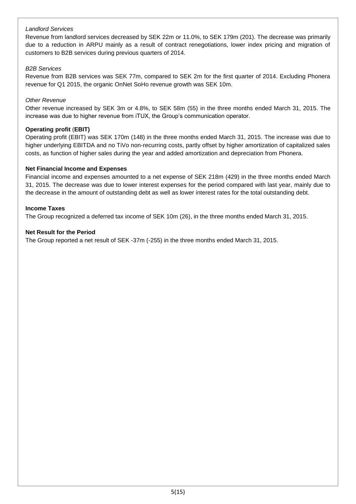### *Landlord Services*

Revenue from landlord services decreased by SEK 22m or 11.0%, to SEK 179m (201). The decrease was primarily due to a reduction in ARPU mainly as a result of contract renegotiations, lower index pricing and migration of customers to B2B services during previous quarters of 2014.

### *B2B Services*

Revenue from B2B services was SEK 77m, compared to SEK 2m for the first quarter of 2014. Excluding Phonera revenue for Q1 2015, the organic OnNet SoHo revenue growth was SEK 10m.

### *Other Revenue*

Other revenue increased by SEK 3m or 4.8%, to SEK 58m (55) in the three months ended March 31, 2015. The increase was due to higher revenue from iTUX, the Group's communication operator.

### **Operating profit** (**EBIT)**

Operating profit (EBIT) was SEK 170m (148) in the three months ended March 31, 2015. The increase was due to higher underlying EBITDA and no TiVo non-recurring costs, partly offset by higher amortization of capitalized sales costs, as function of higher sales during the year and added amortization and depreciation from Phonera.

### **Net Financial Income and Expenses**

Financial income and expenses amounted to a net expense of SEK 218m (429) in the three months ended March 31, 2015. The decrease was due to lower interest expenses for the period compared with last year, mainly due to the decrease in the amount of outstanding debt as well as lower interest rates for the total outstanding debt.

### **Income Taxes**

The Group recognized a deferred tax income of SEK 10m (26), in the three months ended March 31, 2015.

### **Net Result for the Period**

The Group reported a net result of SEK -37m (-255) in the three months ended March 31, 2015.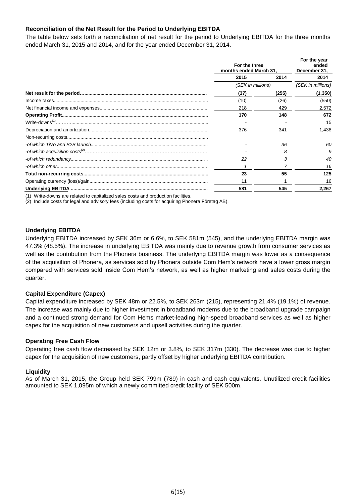### **Reconciliation of the Net Result for the Period to Underlying EBITDA**

The table below sets forth a reconciliation of net result for the period to Underlying EBITDA for the three months ended March 31, 2015 and 2014, and for the year ended December 31, 2014.

| For the three<br>months ended March 31, |       | For the year<br>ended<br>December 31, |
|-----------------------------------------|-------|---------------------------------------|
| 2015                                    | 2014  | 2014                                  |
| (SEK in millions)                       |       | (SEK in millions)                     |
| (37)                                    | (255) | (1,350)                               |
| (10)                                    | (26)  | (550)                                 |
| 218                                     | 429   | 2,572                                 |
| 170                                     | 148   | 672                                   |
|                                         |       | 15                                    |
| 376                                     | 341   | 1.438                                 |
|                                         |       |                                       |
|                                         | 36    | 60                                    |
|                                         | 8     | 9                                     |
| 22                                      | 3     | 40                                    |
|                                         |       | 16                                    |
| 23                                      | 55    | 125                                   |
| 11                                      |       | 16                                    |
| 581                                     | 545   | 2,267                                 |

(1) Write-downs are related to capitalized sales costs and production facilities.

(2) Include costs for legal and advisory fees (including costs for acquiring Phonera Företag AB).

### **Underlying EBITDA**

Underlying EBITDA increased by SEK 36m or 6.6%, to SEK 581m (545), and the underlying EBITDA margin was 47.3% (48.5%). The increase in underlying EBITDA was mainly due to revenue growth from consumer services as well as the contribution from the Phonera business. The underlying EBITDA margin was lower as a consequence of the acquisition of Phonera, as services sold by Phonera outside Com Hem's network have a lower gross margin compared with services sold inside Com Hem's network, as well as higher marketing and sales costs during the quarter.

### **Capital Expenditure (Capex)**

Capital expenditure increased by SEK 48m or 22.5%, to SEK 263m (215), representing 21.4% (19.1%) of revenue. The increase was mainly due to higher investment in broadband modems due to the broadband upgrade campaign and a continued strong demand for Com Hems market-leading high-speed broadband services as well as higher capex for the acquisition of new customers and upsell activities during the quarter.

### **Operating Free Cash Flow**

Operating free cash flow decreased by SEK 12m or 3.8%, to SEK 317m (330). The decrease was due to higher capex for the acquisition of new customers, partly offset by higher underlying EBITDA contribution.

### **Liquidity**

As of March 31, 2015, the Group held SEK 799m (789) in cash and cash equivalents. Unutilized credit facilities amounted to SEK 1,095m of which a newly committed credit facility of SEK 500m.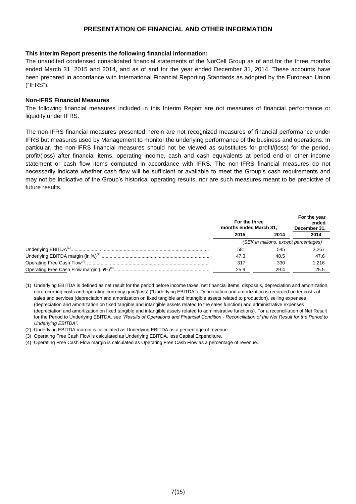### **PRESENTATION OF FINANCIAL AND OTHER INFORMATION**

### **This Interim Report presents the following financial information:**

The unaudited condensed consolidated financial statements of the NorCell Group as of and for the three months ended March 31, 2015 and 2014, and as of and for the year ended December 31, 2014. These accounts have been prepared in accordance with International Financial Reporting Standards as adopted by the European Union ("IFRS").

### **Non-IFRS Financial Measures**

The following financial measures included in this Interim Report are not measures of financial performance or liquidity under IFRS.

The non-IFRS financial measures presented herein are not recognized measures of financial performance under IFRS but measures used by Management to monitor the underlying performance of the business and operations. In particular, the non-IFRS financial measures should not be viewed as substitutes for profit/(loss) for the period, profit/(loss) after financial items, operating income, cash and cash equivalents at period end or other income statement or cash flow items computed in accordance with IFRS. The non-IFRS financial measures do not necessarily indicate whether cash flow will be sufficient or available to meet the Group's cash requirements and may not be indicative of the Group's historical operating results, nor are such measures meant to be predictive of future results.

| For the three<br>months ended March 31. |      | For the year<br>ended<br>December 31. |
|-----------------------------------------|------|---------------------------------------|
| 2015                                    | 2014 | 2014                                  |
| (SEK in millions, except percentages)   |      |                                       |
| 581                                     | 545  | 2.267                                 |
| 47.3                                    | 48.5 | 47.6                                  |
| 317                                     | 330  | 1.216                                 |
| 25.9                                    | 29.4 | 25.5                                  |

(1) Underlying EBITDA is defined as net result for the period before income taxes, net financial items, disposals, depreciation and amortization, non-recurring costs and operating currency gain/(loss) ("Underlying EBITDA"). Depreciation and amortization is recorded under costs of sales and services (depreciation and amortization on fixed tangible and intangible assets related to production), selling expenses (depreciation and amortization on fixed tangible and intangible assets related to the sales function) and administrative expenses (depreciation and amortization on fixed tangible and intangible assets related to administrative functions). For a reconciliation of Net Result for the Period to Underlying EBITDA, see *"Results of Operations and Financial Condition* - *Reconciliation of the Net Result for the Period to Underlying EBITDA"*.

- (2) Underlying EBITDA margin is calculated as Underlying EBITDA as a percentage of revenue.
- (3) Operating Free Cash Flow is calculated as Underlying EBITDA, less Capital Expenditure.
- (4) Operating Free Cash Flow margin is calculated as Operating Free Cash Flow as a percentage of revenue.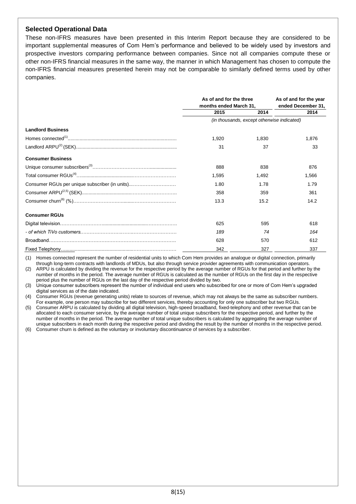### **Selected Operational Data**

These non-IFRS measures have been presented in this Interim Report because they are considered to be important supplemental measures of Com Hem's performance and believed to be widely used by investors and prospective investors comparing performance between companies. Since not all companies compute these or other non-IFRS financial measures in the same way, the manner in which Management has chosen to compute the non-IFRS financial measures presented herein may not be comparable to similarly defined terms used by other companies.

|                                                | As of and for the three |                                            | As of and for the year |  |
|------------------------------------------------|-------------------------|--------------------------------------------|------------------------|--|
|                                                | months ended March 31,  |                                            | ended December 31,     |  |
|                                                | 2015                    | 2014                                       | 2014                   |  |
|                                                |                         | (in thousands, except otherwise indicated) |                        |  |
| <b>Landlord Business</b>                       |                         |                                            |                        |  |
|                                                | 1,920                   | 1.830                                      | 1,876                  |  |
|                                                | 31                      | 37                                         | 33                     |  |
| <b>Consumer Business</b>                       |                         |                                            |                        |  |
|                                                | 888                     | 838                                        | 876                    |  |
|                                                | 1.595                   | 1.492                                      | 1.566                  |  |
| Consumer RGUs per unique subscriber (in units) | 1.80                    | 1.78                                       | 1.79                   |  |
|                                                | 358                     | 359                                        | 361                    |  |
|                                                | 13.3                    | 15.2                                       | 14.2                   |  |
| <b>Consumer RGUs</b>                           |                         |                                            |                        |  |
|                                                | 625                     | 595                                        | 618                    |  |
|                                                | 189                     | 74                                         | 164                    |  |
|                                                | 628                     | 570                                        | 612                    |  |
|                                                | 342                     | 327                                        | 337                    |  |

(1) Homes connected represent the number of residential units to which Com Hem provides an analogue or digital connection, primarily through long-term contracts with landlords of MDUs, but also through service provider agreements with communication operators.

(2) ARPU is calculated by dividing the revenue for the respective period by the average number of RGUs for that period and further by the number of months in the period. The average number of RGUs is calculated as the number of RGUs on the first day in the respective period plus the number of RGUs on the last day of the respective period divided by two.

(3) Unique consumer subscribers represent the number of individual end users who subscribed for one or more of Com Hem's upgraded digital services as of the date indicated.

(4) Consumer RGUs (revenue generating units) relate to sources of revenue, which may not always be the same as subscriber numbers. For example, one person may subscribe for two different services, thereby accounting for only one subscriber but two RGUs.

(5) Consumer ARPU is calculated by dividing all digital television, high-speed broadband, fixed-telephony and other revenue that can be allocated to each consumer service, by the average number of total unique subscribers for the respective period, and further by the number of months in the period. The average number of total unique subscribers is calculated by aggregating the average number of unique subscribers in each month during the respective period and dividing the result by the number of months in the respective period.

(6) Consumer churn is defined as the voluntary or involuntary discontinuance of services by a subscriber.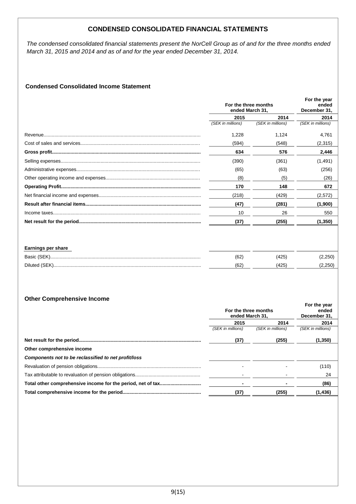### **CONDENSED CONSOLIDATED FINANCIAL STATEMENTS**

*The condensed consolidated financial statements present the NorCell Group as of and for the three months ended March 31, 2015 and 2014 and as of and for the year ended December 31, 2014.*

### **Condensed Consolidated Income Statement**

| For the three months<br>ended March 31, |                   | For the year<br>ended<br>December 31, |
|-----------------------------------------|-------------------|---------------------------------------|
| 2015                                    | 2014              | 2014                                  |
| (SEK in millions)                       | (SEK in millions) | (SEK in millions)                     |
| 1,228                                   | 1,124             | 4,761                                 |
| (594)                                   | (548)             | (2,315)                               |
| 634                                     | 576               | 2,446                                 |
| (390)                                   | (361)             | (1, 491)                              |
| (65)                                    | (63)              | (256)                                 |
| (8)                                     | (5)               | (26)                                  |
| 170                                     | 148               | 672                                   |
| (218)                                   | (429)             | (2,572)                               |
| (47)                                    | (281)             | (1,900)                               |
| 10                                      | 26                | 550                                   |
| (37)                                    | (255)             | (1, 350)                              |
|                                         |                   |                                       |
|                                         |                   |                                       |

| <b>Earnings per share</b> |     |     |        |
|---------------------------|-----|-----|--------|
| Basic (SEK                | (62 | 425 | 2.250` |
|                           | (62 | 425 |        |

### **Other Comprehensive Income**

|                                                      | For the three months<br>ended March 31. |                   | For the year<br>ended<br>December 31, |
|------------------------------------------------------|-----------------------------------------|-------------------|---------------------------------------|
|                                                      | 2015                                    | 2014              | 2014                                  |
|                                                      | (SEK in millions)                       | (SEK in millions) | (SEK in millions)                     |
|                                                      | (37)                                    | (255)             | (1,350)                               |
| Other comprehensive income                           |                                         |                   |                                       |
| Components not to be reclassified to net profit/loss |                                         |                   |                                       |
|                                                      |                                         |                   | (110)                                 |
|                                                      |                                         |                   | 24                                    |
|                                                      |                                         |                   | (86)                                  |
|                                                      | (37)                                    | (255)             | (1, 436)                              |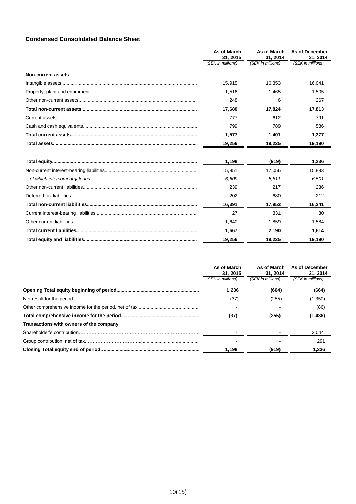### **Condensed Consolidated Balance Sheet**

|                           | As of March<br>31.2015<br>(SEK in millions) | As of March<br>31.2014<br>(SEK in millions) | As of December<br>31.2014<br>(SEK in millions) |
|---------------------------|---------------------------------------------|---------------------------------------------|------------------------------------------------|
| <b>Non-current assets</b> |                                             |                                             |                                                |
|                           | 15,915                                      | 16,353                                      | 16,041                                         |
|                           | 1,516                                       | 1,465                                       | 1,505                                          |
|                           | 248                                         | 6                                           | 267                                            |
|                           | 17,680                                      | 17,824                                      | 17,813                                         |
|                           | 777                                         | 612                                         | 791                                            |
|                           | 799                                         | 789                                         | 586                                            |
|                           | 1,577                                       | 1,401                                       | 1,377                                          |
|                           | 19,256                                      | 19.225                                      | 19,190                                         |
|                           | 1,198                                       | (919)                                       | 1,236                                          |
|                           | 15.951                                      | 17,056                                      | 15,893                                         |
|                           | 6.609                                       | 5.811                                       | 6,501                                          |
|                           | 239                                         | 217                                         | 236                                            |
|                           | 202                                         | 680                                         | 212                                            |
|                           | 16,391                                      | 17,953                                      | 16,341                                         |
|                           | 27                                          | 331                                         | 30                                             |
|                           | 1.640                                       | 1.859                                       | 1.584                                          |
|                           | 1,667                                       | 2,190                                       | 1,614                                          |
|                           | 19,256                                      | 19,225                                      | 19,190                                         |

|                                         | As of March<br>31, 2015 | As of March<br>31, 2014 | As of December<br>31, 2014 |
|-----------------------------------------|-------------------------|-------------------------|----------------------------|
|                                         | (SEK in millions)       | (SEK in millions)       | (SEK in millions)          |
|                                         | 1,236                   | (664)                   | (664)                      |
|                                         | (37)                    | (255)                   | (1,350)                    |
|                                         |                         |                         | (86)                       |
|                                         | (37)                    | (255)                   | (1, 436)                   |
| Transactions with owners of the company |                         |                         |                            |
|                                         |                         |                         | 3,044                      |
|                                         |                         |                         | 291                        |
|                                         | 1,198                   | (919)                   | 1,236                      |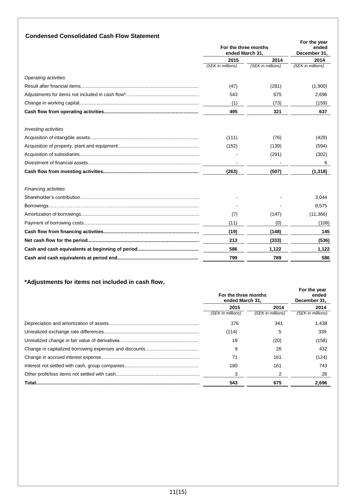|                             | For the three months<br>ended March 31, |                           | For the year<br>ended<br>December 31, |  |
|-----------------------------|-----------------------------------------|---------------------------|---------------------------------------|--|
|                             | 2015<br>(SEK in millions)               | 2014<br>(SEK in millions) | 2014<br>(SEK in millions)             |  |
|                             |                                         |                           |                                       |  |
| Operating activities        |                                         |                           |                                       |  |
|                             | (47)                                    | (281)                     | (1,900)                               |  |
|                             | 543                                     | 675                       | 2,696                                 |  |
|                             | (1)                                     | (73)                      | (159)                                 |  |
|                             | 495                                     | 321                       | 637                                   |  |
| <b>Investing activities</b> |                                         |                           |                                       |  |
|                             | (111)                                   | (76)                      | (429)                                 |  |
|                             | (152)                                   | (139)                     | (594)                                 |  |
|                             |                                         | (291)                     | (302)                                 |  |
|                             |                                         |                           | 6                                     |  |
|                             | (263)                                   | (507)                     | (1,318)                               |  |
| <b>Financing activities</b> |                                         |                           |                                       |  |
|                             |                                         |                           | 3,044                                 |  |
|                             |                                         |                           | 8,575                                 |  |
|                             | (7)                                     | (147)                     | (11, 366)                             |  |
|                             | (11)                                    | (0)                       | (108)                                 |  |
|                             | (19)                                    | (148)                     | 145                                   |  |
|                             | 213                                     | (333)                     | (536)                                 |  |
|                             | 586                                     | 1,122                     | 1,122                                 |  |
|                             | 799                                     | 789                       | 586                                   |  |

## **\*Adjustments for items not included in cash flow,**

|        | For the three months<br>ended March 31. |                   | For the year<br>ended<br>December 31. |
|--------|-----------------------------------------|-------------------|---------------------------------------|
|        | 2015                                    | 2014              | 2014                                  |
|        | (SEK in millions)                       | (SEK in millions) | (SEK in millions)                     |
|        | 376                                     | 341               | 1,438                                 |
|        | (114)                                   | 5                 | 339                                   |
|        | 19                                      | (20)              | (158)                                 |
|        | 9                                       | 26                | 432                                   |
|        | 71                                      | 161               | (124)                                 |
|        | 180                                     | 161               | 743                                   |
|        | 3                                       | 2                 | 26                                    |
| Total. | 543                                     | 675               | 2,696                                 |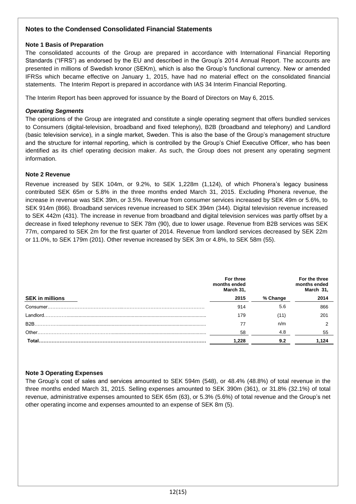### **Notes to the Condensed Consolidated Financial Statements**

### **Note 1 Basis of Preparation**

The consolidated accounts of the Group are prepared in accordance with International Financial Reporting Standards ("IFRS") as endorsed by the EU and described in the Group's 2014 Annual Report. The accounts are presented in millions of Swedish kronor (SEKm), which is also the Group's functional currency. New or amended IFRSs which became effective on January 1, 2015, have had no material effect on the consolidated financial statements. The Interim Report is prepared in accordance with IAS 34 Interim Financial Reporting.

The Interim Report has been approved for issuance by the Board of Directors on May 6, 2015.

### *Operating Segments*

The operations of the Group are integrated and constitute a single operating segment that offers bundled services to Consumers (digital-television, broadband and fixed telephony), B2B (broadband and telephony) and Landlord (basic television service), in a single market, Sweden. This is also the base of the Group's management structure and the structure for internal reporting, which is controlled by the Group's Chief Executive Officer, who has been identified as its chief operating decision maker. As such, the Group does not present any operating segment information.

### **Note 2 Revenue**

Revenue increased by SEK 104m, or 9.2%, to SEK 1,228m (1,124), of which Phonera's legacy business contributed SEK 65m or 5.8% in the three months ended March 31, 2015. Excluding Phonera revenue, the increase in revenue was SEK 39m, or 3.5%. Revenue from consumer services increased by SEK 49m or 5.6%, to SEK 914m (866). Broadband services revenue increased to SEK 394m (344). Digital television revenue increased to SEK 442m (431). The increase in revenue from broadband and digital television services was partly offset by a decrease in fixed telephony revenue to SEK 78m (90), due to lower usage. Revenue from B2B services was SEK 77m, compared to SEK 2m for the first quarter of 2014. Revenue from landlord services decreased by SEK 22m or 11.0%, to SEK 179m (201). Other revenue increased by SEK 3m or 4.8%, to SEK 58m (55).

|                        | For three<br>months ended<br>March 31, |          | For the three<br>months ended<br>March 31, |
|------------------------|----------------------------------------|----------|--------------------------------------------|
| <b>SEK in millions</b> | 2015                                   | % Change | 2014                                       |
| Consumer               | 914                                    | 5.6      | 866                                        |
| ' andlord              | 179                                    |          | 201                                        |
| B <sub>2</sub> B       |                                        | n/m      |                                            |
| Other.                 | 58                                     | 4.8      | 55                                         |
| Total                  | 1.228                                  | 9.2      | 1.124                                      |

### **Note 3 Operating Expenses**

The Group's cost of sales and services amounted to SEK 594m (548), or 48.4% (48.8%) of total revenue in the three months ended March 31, 2015. Selling expenses amounted to SEK 390m (361), or 31.8% (32.1%) of total revenue, administrative expenses amounted to SEK 65m (63), or 5.3% (5.6%) of total revenue and the Group's net other operating income and expenses amounted to an expense of SEK 8m (5).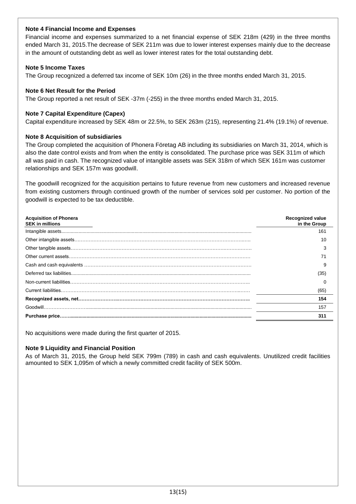### **Note 4 Financial Income and Expenses**

Financial income and expenses summarized to a net financial expense of SEK 218m (429) in the three months ended March 31, 2015.The decrease of SEK 211m was due to lower interest expenses mainly due to the decrease in the amount of outstanding debt as well as lower interest rates for the total outstanding debt.

### **Note 5 Income Taxes**

The Group recognized a deferred tax income of SEK 10m (26) in the three months ended March 31, 2015.

### **Note 6 Net Result for the Period**

The Group reported a net result of SEK -37m (-255) in the three months ended March 31, 2015.

### **Note 7 Capital Expenditure (Capex)**

Capital expenditure increased by SEK 48m or 22.5%, to SEK 263m (215), representing 21.4% (19.1%) of revenue.

### **Note 8 Acquisition of subsidiaries**

The Group completed the acquisition of Phonera Företag AB including its subsidiaries on March 31, 2014, which is also the date control exists and from when the entity is consolidated. The purchase price was SEK 311m of which all was paid in cash. The recognized value of intangible assets was SEK 318m of which SEK 161m was customer relationships and SEK 157m was goodwill.

The goodwill recognized for the acquisition pertains to future revenue from new customers and increased revenue from existing customers through continued growth of the number of services sold per customer. No portion of the goodwill is expected to be tax deductible.

| <b>Acquisition of Phonera</b><br><b>SEK in millions</b> | <b>Recognized value</b><br>in the Group |
|---------------------------------------------------------|-----------------------------------------|
|                                                         | 161                                     |
|                                                         | 10                                      |
|                                                         |                                         |
|                                                         |                                         |
|                                                         | 9                                       |
|                                                         | (35)                                    |
|                                                         |                                         |
|                                                         | (65)                                    |
|                                                         | 154                                     |
|                                                         | 157                                     |
|                                                         | 311                                     |

No acquisitions were made during the first quarter of 2015.

### **Note 9 Liquidity and Financial Position**

As of March 31, 2015, the Group held SEK 799m (789) in cash and cash equivalents. Unutilized credit facilities amounted to SEK 1,095m of which a newly committed credit facility of SEK 500m.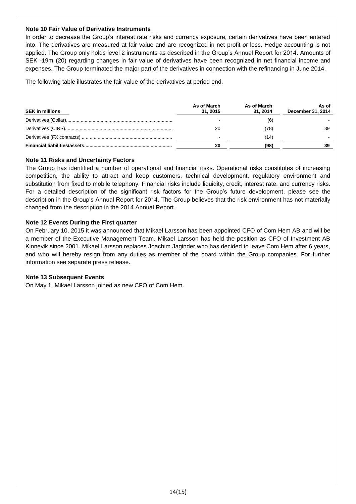### **Note 10 Fair Value of Derivative Instruments**

In order to decrease the Group's interest rate risks and currency exposure, certain derivatives have been entered into. The derivatives are measured at fair value and are recognized in net profit or loss. Hedge accounting is not applied. The Group only holds level 2 instruments as described in the Group's Annual Report for 2014. Amounts of SEK -19m (20) regarding changes in fair value of derivatives have been recognized in net financial income and expenses. The Group terminated the major part of the derivatives in connection with the refinancing in June 2014.

The following table illustrates the fair value of the derivatives at period end.

| <b>SEK in millions</b> | As of March<br>31.2015 | As of March<br>31.2014 | As of<br>December 31, 2014 |
|------------------------|------------------------|------------------------|----------------------------|
|                        |                        | (6)                    |                            |
|                        | 20                     | (78)                   | 39                         |
|                        |                        | 14                     |                            |
|                        | 20                     | (98)                   |                            |

### **Note 11 Risks and Uncertainty Factors**

The Group has identified a number of operational and financial risks. Operational risks constitutes of increasing **,**  competition, the ability to attract and keep customers, technical development, regulatory environment and **2** substitution from fixed to mobile telephony. Financial risks include liquidity, credit, interest rate, and currency risks. **1** For a detailed description of the significant risk factors for the Group's future development, please see the **3** description in the Group's Annual Report for 2014. The Group believes that the risk environment has not materially changed from the description in the 2014 Annual Report. **0**

### **Note 12 Events During the First quarter**

On February 10, 2015 it was announced that Mikael Larsson has been appointed CFO of Com Hem AB and will be a member of the Executive Management Team. Mikael Larsson has held the position as CFO of Investment AB Kinnevik since 2001. Mikael Larsson replaces Joachim Jaginder who has decided to leave Com Hem after 6 years, and who will hereby resign from any duties as member of the board within the Group companies. For further information see separate press release.

### **Note 13 Subsequent Events**

On May 1, Mikael Larsson joined as new CFO of Com Hem.